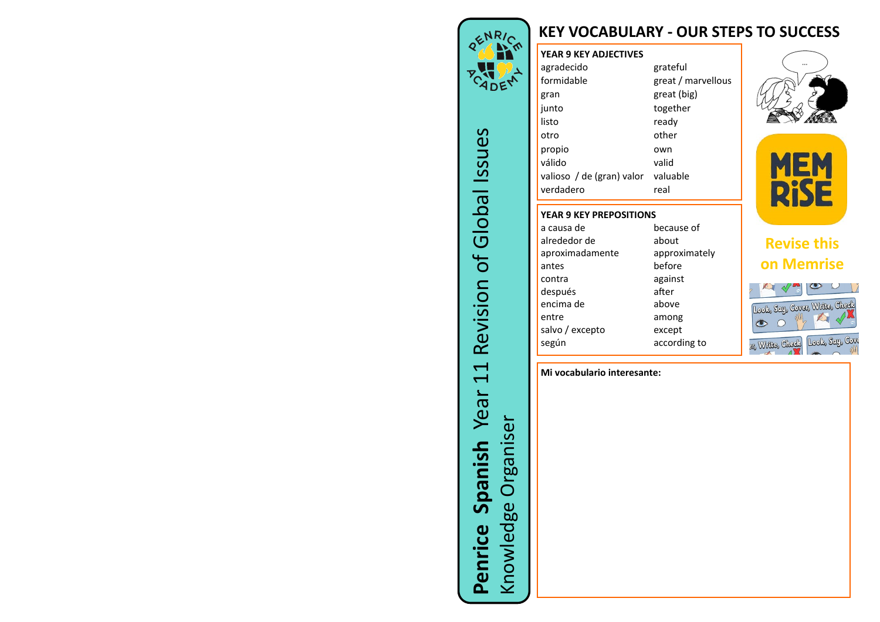## **KEY VOCABULARY - OUR STEPS TO SUCCESS**



**Penrice Spanish** Year 11 Revision of Global Issues

 $\overline{\overline{L}}$ 

Year

Spanish

Penrice

Revision of Global Issues

Knowledge Organiser

Knowledge Organiser

## **YEAR 9 KEY ADJECTIVES** agradecido grateful<br>formidable *great / n* great / marvellous **gran** great (big) junto together listo ready otro other propio own válido valid valioso / de (gran) valor valuable verdadero real **YEAR 9 KEY PREPOSITIONS**







## **Revise this on Memrise**



## **Mi vocabulario interesante:**